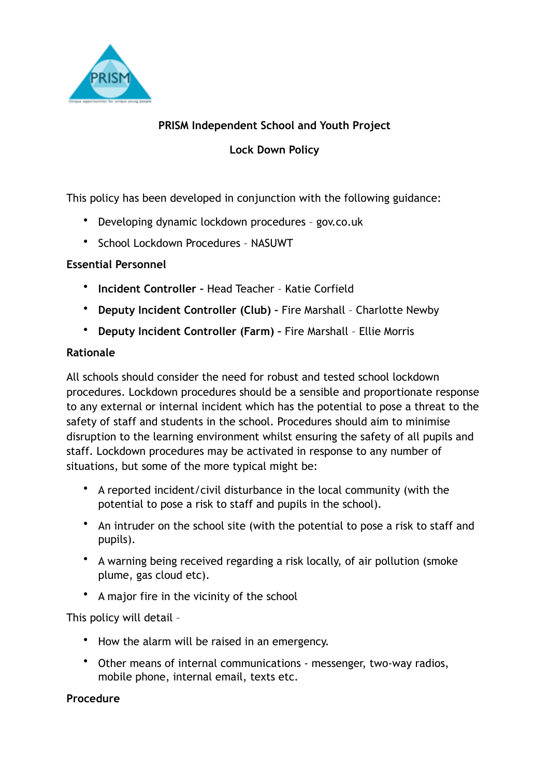

## **PRISM Independent School and Youth Project**

**Lock Down Policy**

This policy has been developed in conjunction with the following guidance:

- Developing dynamic lockdown procedures gov.co.uk
- School Lockdown Procedures NASUWT

## **Essential Personnel**

- **Incident Controller** Head Teacher Katie Corfield
- **Deputy Incident Controller (Club)** Fire Marshall Charlotte Newby
- **Deputy Incident Controller (Farm)** Fire Marshall Ellie Morris

#### **Rationale**

All schools should consider the need for robust and tested school lockdown procedures. Lockdown procedures should be a sensible and proportionate response to any external or internal incident which has the potential to pose a threat to the safety of staff and students in the school. Procedures should aim to minimise disruption to the learning environment whilst ensuring the safety of all pupils and staff. Lockdown procedures may be activated in response to any number of situations, but some of the more typical might be:

- A reported incident/civil disturbance in the local community (with the potential to pose a risk to staff and pupils in the school).
- An intruder on the school site (with the potential to pose a risk to staff and pupils).
- A warning being received regarding a risk locally, of air pollution (smoke plume, gas cloud etc).
- A major fire in the vicinity of the school

This policy will detail –

- How the alarm will be raised in an emergency.
- Other means of internal communications messenger, two-way radios, mobile phone, internal email, texts etc.

## **Procedure**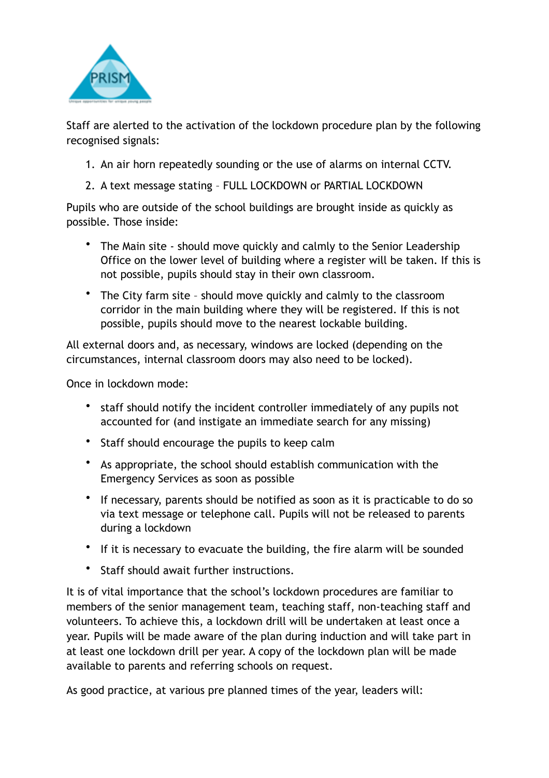

Staff are alerted to the activation of the lockdown procedure plan by the following recognised signals:

- 1. An air horn repeatedly sounding or the use of alarms on internal CCTV.
- 2. A text message stating FULL LOCKDOWN or PARTIAL LOCKDOWN

Pupils who are outside of the school buildings are brought inside as quickly as possible. Those inside:

- The Main site should move quickly and calmly to the Senior Leadership Office on the lower level of building where a register will be taken. If this is not possible, pupils should stay in their own classroom.
- The City farm site should move quickly and calmly to the classroom corridor in the main building where they will be registered. If this is not possible, pupils should move to the nearest lockable building.

All external doors and, as necessary, windows are locked (depending on the circumstances, internal classroom doors may also need to be locked).

Once in lockdown mode:

- staff should notify the incident controller immediately of any pupils not accounted for (and instigate an immediate search for any missing)
- Staff should encourage the pupils to keep calm
- As appropriate, the school should establish communication with the Emergency Services as soon as possible
- If necessary, parents should be notified as soon as it is practicable to do so via text message or telephone call. Pupils will not be released to parents during a lockdown
- If it is necessary to evacuate the building, the fire alarm will be sounded
- Staff should await further instructions.

It is of vital importance that the school's lockdown procedures are familiar to members of the senior management team, teaching staff, non-teaching staff and volunteers. To achieve this, a lockdown drill will be undertaken at least once a year. Pupils will be made aware of the plan during induction and will take part in at least one lockdown drill per year. A copy of the lockdown plan will be made available to parents and referring schools on request.

As good practice, at various pre planned times of the year, leaders will: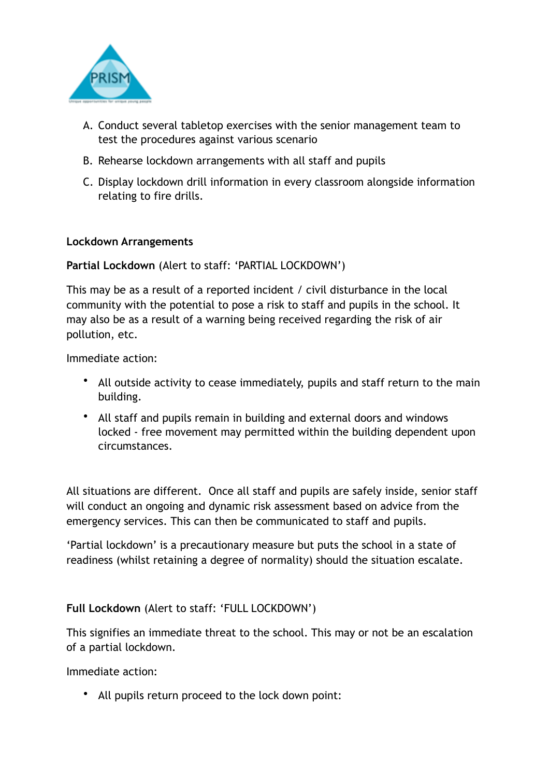

- A. Conduct several tabletop exercises with the senior management team to test the procedures against various scenario
- B. Rehearse lockdown arrangements with all staff and pupils
- C. Display lockdown drill information in every classroom alongside information relating to fire drills.

#### **Lockdown Arrangements**

**Partial Lockdown** (Alert to staff: 'PARTIAL LOCKDOWN')

This may be as a result of a reported incident / civil disturbance in the local community with the potential to pose a risk to staff and pupils in the school. It may also be as a result of a warning being received regarding the risk of air pollution, etc.

Immediate action:

- All outside activity to cease immediately, pupils and staff return to the main building.
- All staff and pupils remain in building and external doors and windows locked - free movement may permitted within the building dependent upon circumstances.

All situations are different. Once all staff and pupils are safely inside, senior staff will conduct an ongoing and dynamic risk assessment based on advice from the emergency services. This can then be communicated to staff and pupils.

'Partial lockdown' is a precautionary measure but puts the school in a state of readiness (whilst retaining a degree of normality) should the situation escalate.

## **Full Lockdown** (Alert to staff: 'FULL LOCKDOWN')

This signifies an immediate threat to the school. This may or not be an escalation of a partial lockdown.

Immediate action:

• All pupils return proceed to the lock down point: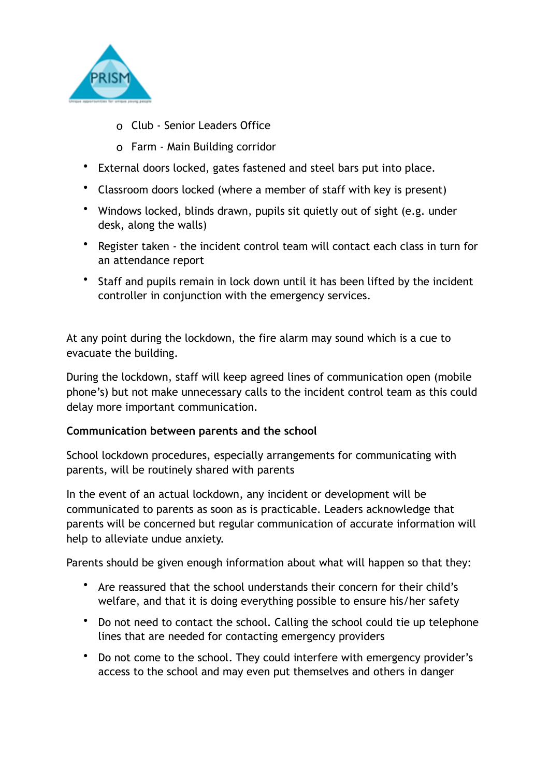

- o Club Senior Leaders Office
- o Farm Main Building corridor
- External doors locked, gates fastened and steel bars put into place.
- Classroom doors locked (where a member of staff with key is present)
- Windows locked, blinds drawn, pupils sit quietly out of sight (e.g. under desk, along the walls)
- Register taken the incident control team will contact each class in turn for an attendance report
- Staff and pupils remain in lock down until it has been lifted by the incident controller in conjunction with the emergency services.

At any point during the lockdown, the fire alarm may sound which is a cue to evacuate the building.

During the lockdown, staff will keep agreed lines of communication open (mobile phone's) but not make unnecessary calls to the incident control team as this could delay more important communication.

## **Communication between parents and the school**

School lockdown procedures, especially arrangements for communicating with parents, will be routinely shared with parents

In the event of an actual lockdown, any incident or development will be communicated to parents as soon as is practicable. Leaders acknowledge that parents will be concerned but regular communication of accurate information will help to alleviate undue anxiety.

Parents should be given enough information about what will happen so that they:

- Are reassured that the school understands their concern for their child's welfare, and that it is doing everything possible to ensure his/her safety
- Do not need to contact the school. Calling the school could tie up telephone lines that are needed for contacting emergency providers
- Do not come to the school. They could interfere with emergency provider's access to the school and may even put themselves and others in danger